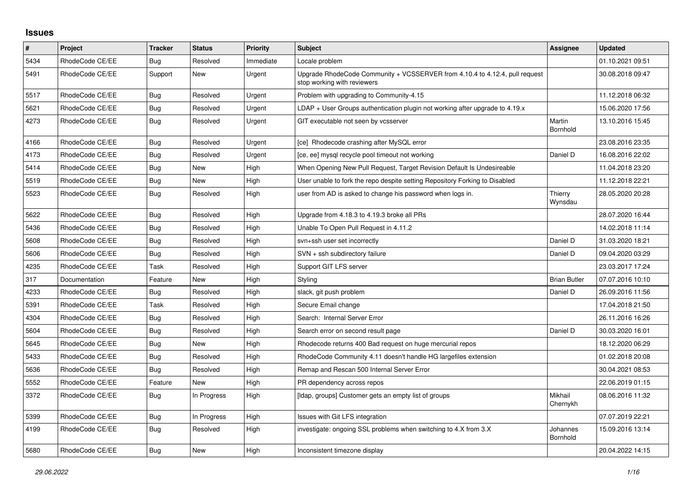## **Issues**

| #    | Project         | <b>Tracker</b> | <b>Status</b> | <b>Priority</b> | <b>Subject</b>                                                                                             | Assignee             | <b>Updated</b>   |
|------|-----------------|----------------|---------------|-----------------|------------------------------------------------------------------------------------------------------------|----------------------|------------------|
| 5434 | RhodeCode CE/EE | Bug            | Resolved      | Immediate       | Locale problem                                                                                             |                      | 01.10.2021 09:51 |
| 5491 | RhodeCode CE/EE | Support        | <b>New</b>    | Urgent          | Upgrade RhodeCode Community + VCSSERVER from 4.10.4 to 4.12.4, pull request<br>stop working with reviewers |                      | 30.08.2018 09:47 |
| 5517 | RhodeCode CE/EE | Bug            | Resolved      | Urgent          | Problem with upgrading to Community-4.15                                                                   |                      | 11.12.2018 06:32 |
| 5621 | RhodeCode CE/EE | Bug            | Resolved      | Urgent          | $LDAP + User Groups authentication playing not working after upgrade to 4.19.x$                            |                      | 15.06.2020 17:56 |
| 4273 | RhodeCode CE/EE | Bug            | Resolved      | Urgent          | GIT executable not seen by vcsserver                                                                       | Martin<br>Bornhold   | 13.10.2016 15:45 |
| 4166 | RhodeCode CE/EE | Bug            | Resolved      | Urgent          | [ce] Rhodecode crashing after MySQL error                                                                  |                      | 23.08.2016 23:35 |
| 4173 | RhodeCode CE/EE | <b>Bug</b>     | Resolved      | Urgent          | [ce, ee] mysql recycle pool timeout not working                                                            | Daniel D             | 16.08.2016 22:02 |
| 5414 | RhodeCode CE/EE | Bug            | <b>New</b>    | High            | When Opening New Pull Request, Target Revision Default Is Undesireable                                     |                      | 11.04.2018 23:20 |
| 5519 | RhodeCode CE/EE | Bug            | <b>New</b>    | High            | User unable to fork the repo despite setting Repository Forking to Disabled                                |                      | 11.12.2018 22:21 |
| 5523 | RhodeCode CE/EE | <b>Bug</b>     | Resolved      | High            | user from AD is asked to change his password when logs in.                                                 | Thierry<br>Wynsdau   | 28.05.2020 20:28 |
| 5622 | RhodeCode CE/EE | Bug            | Resolved      | High            | Upgrade from 4.18.3 to 4.19.3 broke all PRs                                                                |                      | 28.07.2020 16:44 |
| 5436 | RhodeCode CE/EE | Bug            | Resolved      | High            | Unable To Open Pull Request in 4.11.2                                                                      |                      | 14.02.2018 11:14 |
| 5608 | RhodeCode CE/EE | Bug            | Resolved      | High            | svn+ssh user set incorrectly                                                                               | Daniel D             | 31.03.2020 18:21 |
| 5606 | RhodeCode CE/EE | Bug            | Resolved      | High            | SVN + ssh subdirectory failure                                                                             | Daniel D             | 09.04.2020 03:29 |
| 4235 | RhodeCode CE/EE | Task           | Resolved      | High            | Support GIT LFS server                                                                                     |                      | 23.03.2017 17:24 |
| 317  | Documentation   | Feature        | <b>New</b>    | High            | Styling                                                                                                    | <b>Brian Butler</b>  | 07.07.2016 10:10 |
| 4233 | RhodeCode CE/EE | Bug            | Resolved      | High            | slack, git push problem                                                                                    | Daniel D             | 26.09.2016 11:56 |
| 5391 | RhodeCode CE/EE | Task           | Resolved      | High            | Secure Email change                                                                                        |                      | 17.04.2018 21:50 |
| 4304 | RhodeCode CE/EE | Bug            | Resolved      | High            | Search: Internal Server Error                                                                              |                      | 26.11.2016 16:26 |
| 5604 | RhodeCode CE/EE | Bug            | Resolved      | High            | Search error on second result page                                                                         | Daniel D             | 30.03.2020 16:01 |
| 5645 | RhodeCode CE/EE | <b>Bug</b>     | New           | High            | Rhodecode returns 400 Bad request on huge mercurial repos                                                  |                      | 18.12.2020 06:29 |
| 5433 | RhodeCode CE/EE | <b>Bug</b>     | Resolved      | High            | RhodeCode Community 4.11 doesn't handle HG largefiles extension                                            |                      | 01.02.2018 20:08 |
| 5636 | RhodeCode CE/EE | Bug            | Resolved      | High            | Remap and Rescan 500 Internal Server Error                                                                 |                      | 30.04.2021 08:53 |
| 5552 | RhodeCode CE/EE | Feature        | <b>New</b>    | High            | PR dependency across repos                                                                                 |                      | 22.06.2019 01:15 |
| 3372 | RhodeCode CE/EE | Bug            | In Progress   | High            | [Idap, groups] Customer gets an empty list of groups                                                       | Mikhail<br>Chernykh  | 08.06.2016 11:32 |
| 5399 | RhodeCode CE/EE | Bug            | In Progress   | High            | Issues with Git LFS integration                                                                            |                      | 07.07.2019 22:21 |
| 4199 | RhodeCode CE/EE | <b>Bug</b>     | Resolved      | High            | investigate: ongoing SSL problems when switching to 4.X from 3.X                                           | Johannes<br>Bornhold | 15.09.2016 13:14 |
| 5680 | RhodeCode CE/EE | <b>Bug</b>     | New           | High            | Inconsistent timezone display                                                                              |                      | 20.04.2022 14:15 |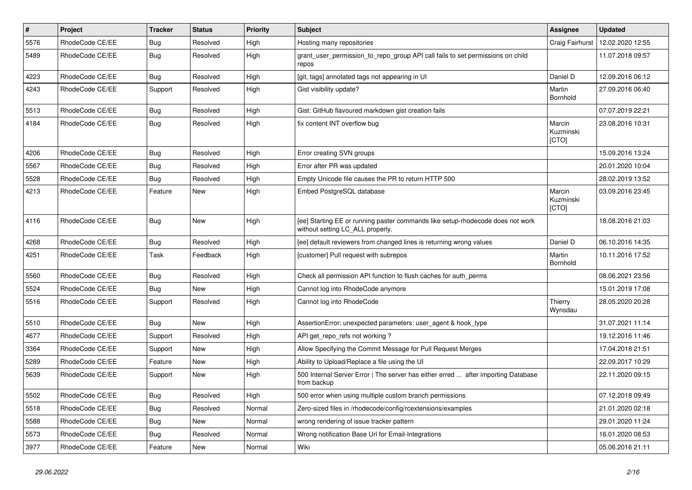| $\pmb{\#}$ | Project         | <b>Tracker</b> | <b>Status</b> | <b>Priority</b> | <b>Subject</b>                                                                                                     | Assignee                     | <b>Updated</b>   |
|------------|-----------------|----------------|---------------|-----------------|--------------------------------------------------------------------------------------------------------------------|------------------------------|------------------|
| 5576       | RhodeCode CE/EE | Bug            | Resolved      | High            | Hosting many repositories                                                                                          | Craig Fairhurst              | 12.02.2020 12:55 |
| 5489       | RhodeCode CE/EE | <b>Bug</b>     | Resolved      | High            | grant_user_permission_to_repo_group API call fails to set permissions on child<br>repos                            |                              | 11.07.2018 09:57 |
| 4223       | RhodeCode CE/EE | Bug            | Resolved      | High            | [git, tags] annotated tags not appearing in UI                                                                     | Daniel D                     | 12.09.2016 06:12 |
| 4243       | RhodeCode CE/EE | Support        | Resolved      | High            | Gist visibility update?                                                                                            | Martin<br>Bornhold           | 27.09.2016 06:40 |
| 5513       | RhodeCode CE/EE | Bug            | Resolved      | High            | Gist: GitHub flavoured markdown gist creation fails                                                                |                              | 07.07.2019 22:21 |
| 4184       | RhodeCode CE/EE | Bug            | Resolved      | High            | fix content INT overflow bug                                                                                       | Marcin<br>Kuzminski<br>[CTO] | 23.08.2016 10:31 |
| 4206       | RhodeCode CE/EE | Bug            | Resolved      | High            | Error creating SVN groups                                                                                          |                              | 15.09.2016 13:24 |
| 5567       | RhodeCode CE/EE | <b>Bug</b>     | Resolved      | High            | Error after PR was updated                                                                                         |                              | 20.01.2020 10:04 |
| 5528       | RhodeCode CE/EE | Bug            | Resolved      | High            | Empty Unicode file causes the PR to return HTTP 500                                                                |                              | 28.02.2019 13:52 |
| 4213       | RhodeCode CE/EE | Feature        | <b>New</b>    | High            | Embed PostgreSQL database                                                                                          | Marcin<br>Kuzminski<br>[CTO] | 03.09.2016 23:45 |
| 4116       | RhodeCode CE/EE | Bug            | New           | High            | [ee] Starting EE or running paster commands like setup-rhodecode does not work<br>without setting LC_ALL properly. |                              | 18.08.2016 21:03 |
| 4268       | RhodeCode CE/EE | Bug            | Resolved      | High            | [ee] default reviewers from changed lines is returning wrong values                                                | Daniel D                     | 06.10.2016 14:35 |
| 4251       | RhodeCode CE/EE | Task           | Feedback      | High            | [customer] Pull request with subrepos                                                                              | Martin<br>Bornhold           | 10.11.2016 17:52 |
| 5560       | RhodeCode CE/EE | Bug            | Resolved      | High            | Check all permission API function to flush caches for auth perms                                                   |                              | 08.06.2021 23:56 |
| 5524       | RhodeCode CE/EE | Bug            | <b>New</b>    | High            | Cannot log into RhodeCode anymore                                                                                  |                              | 15.01.2019 17:08 |
| 5516       | RhodeCode CE/EE | Support        | Resolved      | High            | Cannot log into RhodeCode                                                                                          | Thierry<br>Wynsdau           | 28.05.2020 20:28 |
| 5510       | RhodeCode CE/EE | Bug            | New           | High            | AssertionError: unexpected parameters: user_agent & hook_type                                                      |                              | 31.07.2021 11:14 |
| 4677       | RhodeCode CE/EE | Support        | Resolved      | High            | API get_repo_refs not working?                                                                                     |                              | 19.12.2016 11:46 |
| 3364       | RhodeCode CE/EE | Support        | New           | High            | Allow Specifying the Commit Message for Pull Request Merges                                                        |                              | 17.04.2018 21:51 |
| 5289       | RhodeCode CE/EE | Feature        | <b>New</b>    | High            | Ability to Upload/Replace a file using the UI                                                                      |                              | 22.09.2017 10:29 |
| 5639       | RhodeCode CE/EE | Support        | New           | High            | 500 Internal Server Error   The server has either erred  after importing Database<br>from backup                   |                              | 22.11.2020 09:15 |
| 5502       | RhodeCode CE/EE | <b>Bug</b>     | Resolved      | High            | 500 error when using multiple custom branch permissions                                                            |                              | 07.12.2018 09:49 |
| 5518       | RhodeCode CE/EE | Bug            | Resolved      | Normal          | Zero-sized files in /rhodecode/config/rcextensions/examples                                                        |                              | 21.01.2020 02:18 |
| 5588       | RhodeCode CE/EE | <b>Bug</b>     | New           | Normal          | wrong rendering of issue tracker pattern                                                                           |                              | 29.01.2020 11:24 |
| 5573       | RhodeCode CE/EE | Bug            | Resolved      | Normal          | Wrong notification Base Url for Email-Integrations                                                                 |                              | 16.01.2020 08:53 |
| 3977       | RhodeCode CE/EE | Feature        | <b>New</b>    | Normal          | Wiki                                                                                                               |                              | 05.06.2016 21:11 |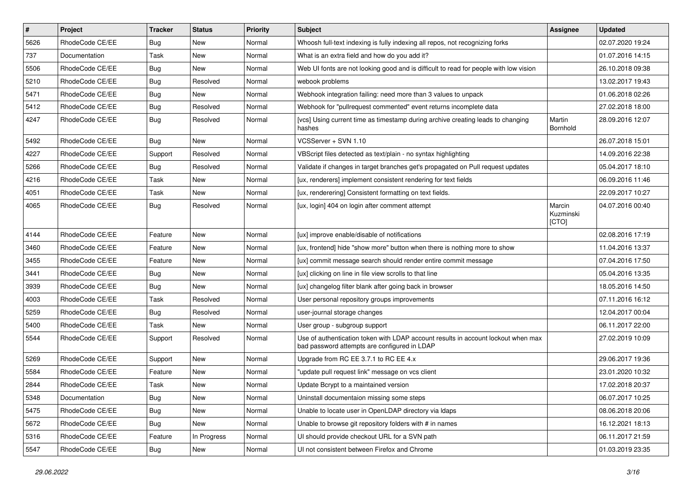| $\vert$ # | Project         | <b>Tracker</b> | <b>Status</b> | <b>Priority</b> | <b>Subject</b>                                                                                                                    | Assignee                     | <b>Updated</b>   |
|-----------|-----------------|----------------|---------------|-----------------|-----------------------------------------------------------------------------------------------------------------------------------|------------------------------|------------------|
| 5626      | RhodeCode CE/EE | <b>Bug</b>     | New           | Normal          | Whoosh full-text indexing is fully indexing all repos, not recognizing forks                                                      |                              | 02.07.2020 19:24 |
| 737       | Documentation   | Task           | New           | Normal          | What is an extra field and how do you add it?                                                                                     |                              | 01.07.2016 14:15 |
| 5506      | RhodeCode CE/EE | Bug            | New           | Normal          | Web UI fonts are not looking good and is difficult to read for people with low vision                                             |                              | 26.10.2018 09:38 |
| 5210      | RhodeCode CE/EE | <b>Bug</b>     | Resolved      | Normal          | webook problems                                                                                                                   |                              | 13.02.2017 19:43 |
| 5471      | RhodeCode CE/EE | <b>Bug</b>     | <b>New</b>    | Normal          | Webhook integration failing: need more than 3 values to unpack                                                                    |                              | 01.06.2018 02:26 |
| 5412      | RhodeCode CE/EE | Bug            | Resolved      | Normal          | Webhook for "pullrequest commented" event returns incomplete data                                                                 |                              | 27.02.2018 18:00 |
| 4247      | RhodeCode CE/EE | Bug            | Resolved      | Normal          | [vcs] Using current time as timestamp during archive creating leads to changing<br>hashes                                         | Martin<br>Bornhold           | 28.09.2016 12:07 |
| 5492      | RhodeCode CE/EE | <b>Bug</b>     | <b>New</b>    | Normal          | VCSServer + SVN 1.10                                                                                                              |                              | 26.07.2018 15:01 |
| 4227      | RhodeCode CE/EE | Support        | Resolved      | Normal          | VBScript files detected as text/plain - no syntax highlighting                                                                    |                              | 14.09.2016 22:38 |
| 5266      | RhodeCode CE/EE | Bug            | Resolved      | Normal          | Validate if changes in target branches get's propagated on Pull request updates                                                   |                              | 05.04.2017 18:10 |
| 4216      | RhodeCode CE/EE | Task           | New           | Normal          | [ux, renderers] implement consistent rendering for text fields                                                                    |                              | 06.09.2016 11:46 |
| 4051      | RhodeCode CE/EE | Task           | New           | Normal          | [ux, renderering] Consistent formatting on text fields.                                                                           |                              | 22.09.2017 10:27 |
| 4065      | RhodeCode CE/EE | Bug            | Resolved      | Normal          | [ux, login] 404 on login after comment attempt                                                                                    | Marcin<br>Kuzminski<br>[CTO] | 04.07.2016 00:40 |
| 4144      | RhodeCode CE/EE | Feature        | <b>New</b>    | Normal          | [ux] improve enable/disable of notifications                                                                                      |                              | 02.08.2016 17:19 |
| 3460      | RhodeCode CE/EE | Feature        | New           | Normal          | [ux, frontend] hide "show more" button when there is nothing more to show                                                         |                              | 11.04.2016 13:37 |
| 3455      | RhodeCode CE/EE | Feature        | New           | Normal          | [ux] commit message search should render entire commit message                                                                    |                              | 07.04.2016 17:50 |
| 3441      | RhodeCode CE/EE | <b>Bug</b>     | New           | Normal          | [ux] clicking on line in file view scrolls to that line                                                                           |                              | 05.04.2016 13:35 |
| 3939      | RhodeCode CE/EE | Bug            | New           | Normal          | [ux] changelog filter blank after going back in browser                                                                           |                              | 18.05.2016 14:50 |
| 4003      | RhodeCode CE/EE | Task           | Resolved      | Normal          | User personal repository groups improvements                                                                                      |                              | 07.11.2016 16:12 |
| 5259      | RhodeCode CE/EE | Bug            | Resolved      | Normal          | user-journal storage changes                                                                                                      |                              | 12.04.2017 00:04 |
| 5400      | RhodeCode CE/EE | Task           | New           | Normal          | User group - subgroup support                                                                                                     |                              | 06.11.2017 22:00 |
| 5544      | RhodeCode CE/EE | Support        | Resolved      | Normal          | Use of authentication token with LDAP account results in account lockout when max<br>bad password attempts are configured in LDAP |                              | 27.02.2019 10:09 |
| 5269      | RhodeCode CE/EE | Support        | New           | Normal          | Upgrade from RC EE 3.7.1 to RC EE 4.x                                                                                             |                              | 29.06.2017 19:36 |
| 5584      | RhodeCode CE/EE | Feature        | New           | Normal          | "update pull request link" message on vcs client                                                                                  |                              | 23.01.2020 10:32 |
| 2844      | RhodeCode CE/EE | Task           | New           | Normal          | Update Bcrypt to a maintained version                                                                                             |                              | 17.02.2018 20:37 |
| 5348      | Documentation   | <b>Bug</b>     | New           | Normal          | Uninstall documentaion missing some steps                                                                                         |                              | 06.07.2017 10:25 |
| 5475      | RhodeCode CE/EE | Bug            | New           | Normal          | Unable to locate user in OpenLDAP directory via Idaps                                                                             |                              | 08.06.2018 20:06 |
| 5672      | RhodeCode CE/EE | Bug            | New           | Normal          | Unable to browse git repository folders with # in names                                                                           |                              | 16.12.2021 18:13 |
| 5316      | RhodeCode CE/EE | Feature        | In Progress   | Normal          | UI should provide checkout URL for a SVN path                                                                                     |                              | 06.11.2017 21:59 |
| 5547      | RhodeCode CE/EE | <b>Bug</b>     | New           | Normal          | UI not consistent between Firefox and Chrome                                                                                      |                              | 01.03.2019 23:35 |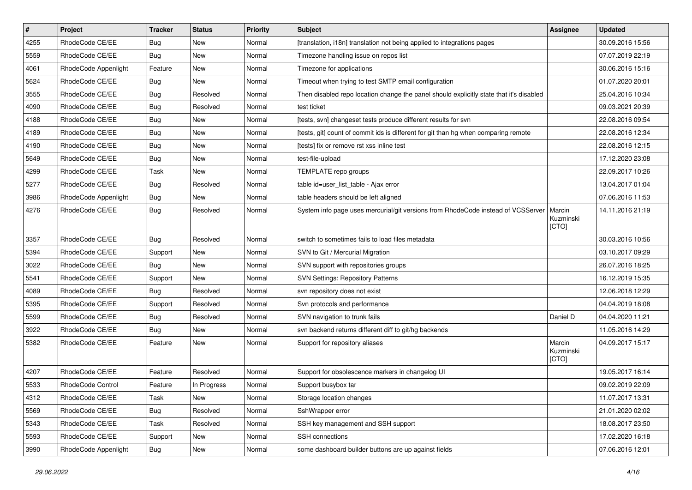| $\vert$ # | Project              | <b>Tracker</b> | <b>Status</b> | Priority | <b>Subject</b>                                                                          | <b>Assignee</b>              | <b>Updated</b>   |
|-----------|----------------------|----------------|---------------|----------|-----------------------------------------------------------------------------------------|------------------------------|------------------|
| 4255      | RhodeCode CE/EE      | Bug            | New           | Normal   | [translation, i18n] translation not being applied to integrations pages                 |                              | 30.09.2016 15:56 |
| 5559      | RhodeCode CE/EE      | Bug            | <b>New</b>    | Normal   | Timezone handling issue on repos list                                                   |                              | 07.07.2019 22:19 |
| 4061      | RhodeCode Appenlight | Feature        | New           | Normal   | Timezone for applications                                                               |                              | 30.06.2016 15:16 |
| 5624      | RhodeCode CE/EE      | Bug            | New           | Normal   | Timeout when trying to test SMTP email configuration                                    |                              | 01.07.2020 20:01 |
| 3555      | RhodeCode CE/EE      | Bug            | Resolved      | Normal   | Then disabled repo location change the panel should explicitly state that it's disabled |                              | 25.04.2016 10:34 |
| 4090      | RhodeCode CE/EE      | Bug            | Resolved      | Normal   | test ticket                                                                             |                              | 09.03.2021 20:39 |
| 4188      | RhodeCode CE/EE      | Bug            | <b>New</b>    | Normal   | [tests, svn] changeset tests produce different results for svn                          |                              | 22.08.2016 09:54 |
| 4189      | RhodeCode CE/EE      | Bug            | New           | Normal   | [tests, git] count of commit ids is different for git than hg when comparing remote     |                              | 22.08.2016 12:34 |
| 4190      | RhodeCode CE/EE      | Bug            | <b>New</b>    | Normal   | [tests] fix or remove rst xss inline test                                               |                              | 22.08.2016 12:15 |
| 5649      | RhodeCode CE/EE      | Bug            | <b>New</b>    | Normal   | test-file-upload                                                                        |                              | 17.12.2020 23:08 |
| 4299      | RhodeCode CE/EE      | Task           | New           | Normal   | TEMPLATE repo groups                                                                    |                              | 22.09.2017 10:26 |
| 5277      | RhodeCode CE/EE      | Bug            | Resolved      | Normal   | table id=user_list_table - Ajax error                                                   |                              | 13.04.2017 01:04 |
| 3986      | RhodeCode Appenlight | Bug            | <b>New</b>    | Normal   | table headers should be left aligned                                                    |                              | 07.06.2016 11:53 |
| 4276      | RhodeCode CE/EE      | Bug            | Resolved      | Normal   | System info page uses mercurial/git versions from RhodeCode instead of VCSServer        | Marcin<br>Kuzminski<br>[CTO] | 14.11.2016 21:19 |
| 3357      | RhodeCode CE/EE      | Bug            | Resolved      | Normal   | switch to sometimes fails to load files metadata                                        |                              | 30.03.2016 10:56 |
| 5394      | RhodeCode CE/EE      | Support        | <b>New</b>    | Normal   | SVN to Git / Mercurial Migration                                                        |                              | 03.10.2017 09:29 |
| 3022      | RhodeCode CE/EE      | <b>Bug</b>     | New           | Normal   | SVN support with repositories groups                                                    |                              | 26.07.2016 18:25 |
| 5541      | RhodeCode CE/EE      | Support        | New           | Normal   | <b>SVN Settings: Repository Patterns</b>                                                |                              | 16.12.2019 15:35 |
| 4089      | RhodeCode CE/EE      | Bug            | Resolved      | Normal   | svn repository does not exist                                                           |                              | 12.06.2018 12:29 |
| 5395      | RhodeCode CE/EE      | Support        | Resolved      | Normal   | Svn protocols and performance                                                           |                              | 04.04.2019 18:08 |
| 5599      | RhodeCode CE/EE      | Bug            | Resolved      | Normal   | SVN navigation to trunk fails                                                           | Daniel D                     | 04.04.2020 11:21 |
| 3922      | RhodeCode CE/EE      | <b>Bug</b>     | New           | Normal   | svn backend returns different diff to git/hg backends                                   |                              | 11.05.2016 14:29 |
| 5382      | RhodeCode CE/EE      | Feature        | New           | Normal   | Support for repository aliases                                                          | Marcin<br>Kuzminski<br>[CTO] | 04.09.2017 15:17 |
| 4207      | RhodeCode CE/EE      | Feature        | Resolved      | Normal   | Support for obsolescence markers in changelog UI                                        |                              | 19.05.2017 16:14 |
| 5533      | RhodeCode Control    | Feature        | In Progress   | Normal   | Support busybox tar                                                                     |                              | 09.02.2019 22:09 |
| 4312      | RhodeCode CE/EE      | Task           | New           | Normal   | Storage location changes                                                                |                              | 11.07.2017 13:31 |
| 5569      | RhodeCode CE/EE      | <b>Bug</b>     | Resolved      | Normal   | SshWrapper error                                                                        |                              | 21.01.2020 02:02 |
| 5343      | RhodeCode CE/EE      | Task           | Resolved      | Normal   | SSH key management and SSH support                                                      |                              | 18.08.2017 23:50 |
| 5593      | RhodeCode CE/EE      | Support        | New           | Normal   | SSH connections                                                                         |                              | 17.02.2020 16:18 |
| 3990      | RhodeCode Appenlight | <b>Bug</b>     | New           | Normal   | some dashboard builder buttons are up against fields                                    |                              | 07.06.2016 12:01 |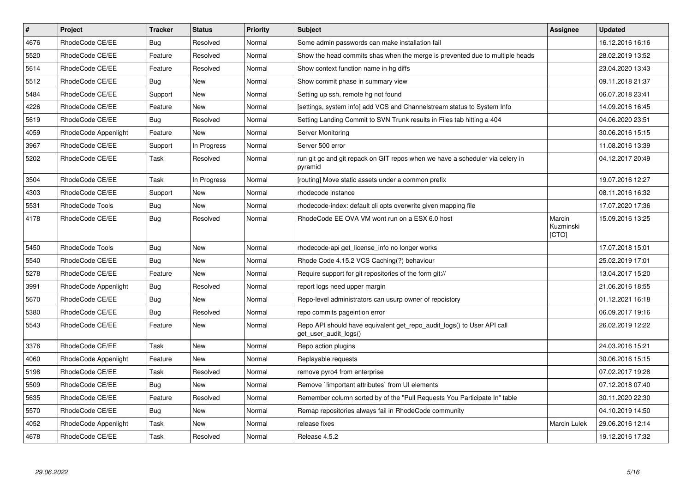| $\pmb{\#}$ | Project              | <b>Tracker</b> | <b>Status</b> | <b>Priority</b> | <b>Subject</b>                                                                                  | Assignee                     | <b>Updated</b>   |
|------------|----------------------|----------------|---------------|-----------------|-------------------------------------------------------------------------------------------------|------------------------------|------------------|
| 4676       | RhodeCode CE/EE      | Bug            | Resolved      | Normal          | Some admin passwords can make installation fail                                                 |                              | 16.12.2016 16:16 |
| 5520       | RhodeCode CE/EE      | Feature        | Resolved      | Normal          | Show the head commits shas when the merge is prevented due to multiple heads                    |                              | 28.02.2019 13:52 |
| 5614       | RhodeCode CE/EE      | Feature        | Resolved      | Normal          | Show context function name in hg diffs                                                          |                              | 23.04.2020 13:43 |
| 5512       | RhodeCode CE/EE      | Bug            | New           | Normal          | Show commit phase in summary view                                                               |                              | 09.11.2018 21:37 |
| 5484       | RhodeCode CE/EE      | Support        | <b>New</b>    | Normal          | Setting up ssh, remote hg not found                                                             |                              | 06.07.2018 23:41 |
| 4226       | RhodeCode CE/EE      | Feature        | New           | Normal          | [settings, system info] add VCS and Channelstream status to System Info                         |                              | 14.09.2016 16:45 |
| 5619       | RhodeCode CE/EE      | Bug            | Resolved      | Normal          | Setting Landing Commit to SVN Trunk results in Files tab hitting a 404                          |                              | 04.06.2020 23:51 |
| 4059       | RhodeCode Appenlight | Feature        | <b>New</b>    | Normal          | Server Monitoring                                                                               |                              | 30.06.2016 15:15 |
| 3967       | RhodeCode CE/EE      | Support        | In Progress   | Normal          | Server 500 error                                                                                |                              | 11.08.2016 13:39 |
| 5202       | RhodeCode CE/EE      | Task           | Resolved      | Normal          | run git gc and git repack on GIT repos when we have a scheduler via celery in<br>pyramid        |                              | 04.12.2017 20:49 |
| 3504       | RhodeCode CE/EE      | Task           | In Progress   | Normal          | [routing] Move static assets under a common prefix                                              |                              | 19.07.2016 12:27 |
| 4303       | RhodeCode CE/EE      | Support        | <b>New</b>    | Normal          | rhodecode instance                                                                              |                              | 08.11.2016 16:32 |
| 5531       | RhodeCode Tools      | <b>Bug</b>     | <b>New</b>    | Normal          | rhodecode-index: default cli opts overwrite given mapping file                                  |                              | 17.07.2020 17:36 |
| 4178       | RhodeCode CE/EE      | Bug            | Resolved      | Normal          | RhodeCode EE OVA VM wont run on a ESX 6.0 host                                                  | Marcin<br>Kuzminski<br>[CTO] | 15.09.2016 13:25 |
| 5450       | RhodeCode Tools      | Bug            | New           | Normal          | rhodecode-api get_license_info no longer works                                                  |                              | 17.07.2018 15:01 |
| 5540       | RhodeCode CE/EE      | Bug            | <b>New</b>    | Normal          | Rhode Code 4.15.2 VCS Caching(?) behaviour                                                      |                              | 25.02.2019 17:01 |
| 5278       | RhodeCode CE/EE      | Feature        | <b>New</b>    | Normal          | Require support for git repositories of the form git://                                         |                              | 13.04.2017 15:20 |
| 3991       | RhodeCode Appenlight | <b>Bug</b>     | Resolved      | Normal          | report logs need upper margin                                                                   |                              | 21.06.2016 18:55 |
| 5670       | RhodeCode CE/EE      | Bug            | New           | Normal          | Repo-level administrators can usurp owner of repoistory                                         |                              | 01.12.2021 16:18 |
| 5380       | RhodeCode CE/EE      | Bug            | Resolved      | Normal          | repo commits pageintion error                                                                   |                              | 06.09.2017 19:16 |
| 5543       | RhodeCode CE/EE      | Feature        | <b>New</b>    | Normal          | Repo API should have equivalent get repo audit logs() to User API call<br>get user audit logs() |                              | 26.02.2019 12:22 |
| 3376       | RhodeCode CE/EE      | Task           | New           | Normal          | Repo action plugins                                                                             |                              | 24.03.2016 15:21 |
| 4060       | RhodeCode Appenlight | Feature        | <b>New</b>    | Normal          | Replayable requests                                                                             |                              | 30.06.2016 15:15 |
| 5198       | RhodeCode CE/EE      | Task           | Resolved      | Normal          | remove pyro4 from enterprise                                                                    |                              | 07.02.2017 19:28 |
| 5509       | RhodeCode CE/EE      | Bug            | <b>New</b>    | Normal          | Remove `limportant attributes` from UI elements                                                 |                              | 07.12.2018 07:40 |
| 5635       | RhodeCode CE/EE      | Feature        | Resolved      | Normal          | Remember column sorted by of the "Pull Requests You Participate In" table                       |                              | 30.11.2020 22:30 |
| 5570       | RhodeCode CE/EE      | <b>Bug</b>     | <b>New</b>    | Normal          | Remap repositories always fail in RhodeCode community                                           |                              | 04.10.2019 14:50 |
| 4052       | RhodeCode Appenlight | Task           | New           | Normal          | release fixes                                                                                   | Marcin Lulek                 | 29.06.2016 12:14 |
| 4678       | RhodeCode CE/EE      | Task           | Resolved      | Normal          | Release 4.5.2                                                                                   |                              | 19.12.2016 17:32 |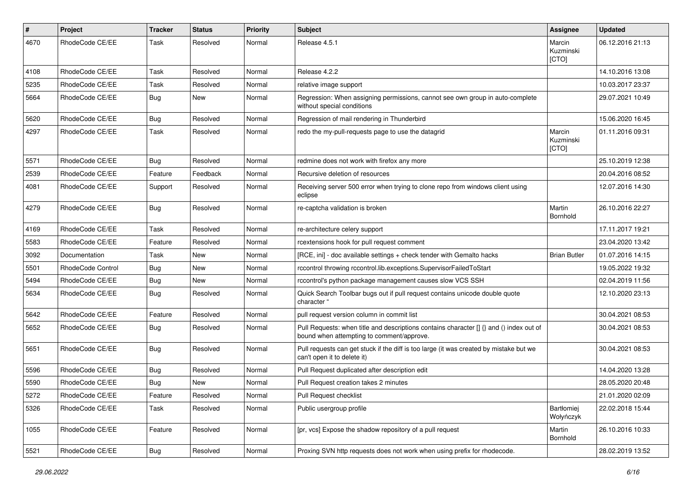| $\pmb{\#}$ | Project                  | <b>Tracker</b> | <b>Status</b> | <b>Priority</b> | <b>Subject</b>                                                                                                                       | <b>Assignee</b>              | <b>Updated</b>   |
|------------|--------------------------|----------------|---------------|-----------------|--------------------------------------------------------------------------------------------------------------------------------------|------------------------------|------------------|
| 4670       | RhodeCode CE/EE          | Task           | Resolved      | Normal          | Release 4.5.1                                                                                                                        | Marcin<br>Kuzminski<br>[CTO] | 06.12.2016 21:13 |
| 4108       | RhodeCode CE/EE          | Task           | Resolved      | Normal          | Release 4.2.2                                                                                                                        |                              | 14.10.2016 13:08 |
| 5235       | RhodeCode CE/EE          | Task           | Resolved      | Normal          | relative image support                                                                                                               |                              | 10.03.2017 23:37 |
| 5664       | RhodeCode CE/EE          | Bug            | New           | Normal          | Regression: When assigning permissions, cannot see own group in auto-complete<br>without special conditions                          |                              | 29.07.2021 10:49 |
| 5620       | RhodeCode CE/EE          | Bug            | Resolved      | Normal          | Regression of mail rendering in Thunderbird                                                                                          |                              | 15.06.2020 16:45 |
| 4297       | RhodeCode CE/EE          | Task           | Resolved      | Normal          | redo the my-pull-requests page to use the datagrid                                                                                   | Marcin<br>Kuzminski<br>[CTO] | 01.11.2016 09:31 |
| 5571       | RhodeCode CE/EE          | Bug            | Resolved      | Normal          | redmine does not work with firefox any more                                                                                          |                              | 25.10.2019 12:38 |
| 2539       | RhodeCode CE/EE          | Feature        | Feedback      | Normal          | Recursive deletion of resources                                                                                                      |                              | 20.04.2016 08:52 |
| 4081       | RhodeCode CE/EE          | Support        | Resolved      | Normal          | Receiving server 500 error when trying to clone repo from windows client using<br>eclipse                                            |                              | 12.07.2016 14:30 |
| 4279       | RhodeCode CE/EE          | Bug            | Resolved      | Normal          | re-captcha validation is broken                                                                                                      | Martin<br><b>Bornhold</b>    | 26.10.2016 22:27 |
| 4169       | RhodeCode CE/EE          | Task           | Resolved      | Normal          | re-architecture celery support                                                                                                       |                              | 17.11.2017 19:21 |
| 5583       | RhodeCode CE/EE          | Feature        | Resolved      | Normal          | rcextensions hook for pull request comment                                                                                           |                              | 23.04.2020 13:42 |
| 3092       | Documentation            | Task           | New           | Normal          | [RCE, ini] - doc available settings + check tender with Gemalto hacks                                                                | <b>Brian Butler</b>          | 01.07.2016 14:15 |
| 5501       | <b>RhodeCode Control</b> | Bug            | New           | Normal          | rccontrol throwing rccontrol.lib.exceptions.SupervisorFailedToStart                                                                  |                              | 19.05.2022 19:32 |
| 5494       | RhodeCode CE/EE          | Bug            | <b>New</b>    | Normal          | rccontrol's python package management causes slow VCS SSH                                                                            |                              | 02.04.2019 11:56 |
| 5634       | RhodeCode CE/EE          | Bug            | Resolved      | Normal          | Quick Search Toolbar bugs out if pull request contains unicode double quote<br>character "                                           |                              | 12.10.2020 23:13 |
| 5642       | RhodeCode CE/EE          | Feature        | Resolved      | Normal          | pull request version column in commit list                                                                                           |                              | 30.04.2021 08:53 |
| 5652       | RhodeCode CE/EE          | Bug            | Resolved      | Normal          | Pull Requests: when title and descriptions contains character [] {} and () index out of<br>bound when attempting to comment/approve. |                              | 30.04.2021 08:53 |
| 5651       | RhodeCode CE/EE          | Bug            | Resolved      | Normal          | Pull requests can get stuck if the diff is too large (it was created by mistake but we<br>can't open it to delete it)                |                              | 30.04.2021 08:53 |
| 5596       | RhodeCode CE/EE          | Bug            | Resolved      | Normal          | Pull Request duplicated after description edit                                                                                       |                              | 14.04.2020 13:28 |
| 5590       | RhodeCode CE/EE          | Bug            | New           | Normal          | Pull Request creation takes 2 minutes                                                                                                |                              | 28.05.2020 20:48 |
| 5272       | RhodeCode CE/EE          | Feature        | Resolved      | Normal          | Pull Request checklist                                                                                                               |                              | 21.01.2020 02:09 |
| 5326       | RhodeCode CE/EE          | Task           | Resolved      | Normal          | Public usergroup profile                                                                                                             | Bartłomiej<br>Wołyńczyk      | 22.02.2018 15:44 |
| 1055       | RhodeCode CE/EE          | Feature        | Resolved      | Normal          | [pr, vcs] Expose the shadow repository of a pull request                                                                             | Martin<br>Bornhold           | 26.10.2016 10:33 |
| 5521       | RhodeCode CE/EE          | Bug            | Resolved      | Normal          | Proxing SVN http requests does not work when using prefix for rhodecode.                                                             |                              | 28.02.2019 13:52 |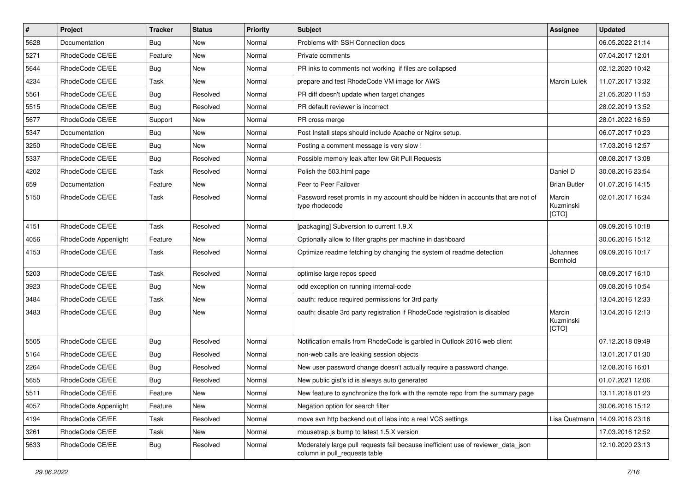| $\sharp$ | Project              | <b>Tracker</b> | <b>Status</b> | Priority | Subject                                                                                                            | <b>Assignee</b>              | <b>Updated</b>   |
|----------|----------------------|----------------|---------------|----------|--------------------------------------------------------------------------------------------------------------------|------------------------------|------------------|
| 5628     | Documentation        | Bug            | New           | Normal   | Problems with SSH Connection docs                                                                                  |                              | 06.05.2022 21:14 |
| 5271     | RhodeCode CE/EE      | Feature        | <b>New</b>    | Normal   | Private comments                                                                                                   |                              | 07.04.2017 12:01 |
| 5644     | RhodeCode CE/EE      | Bug            | New           | Normal   | PR inks to comments not working if files are collapsed                                                             |                              | 02.12.2020 10:42 |
| 4234     | RhodeCode CE/EE      | Task           | <b>New</b>    | Normal   | prepare and test RhodeCode VM image for AWS                                                                        | <b>Marcin Lulek</b>          | 11.07.2017 13:32 |
| 5561     | RhodeCode CE/EE      | Bug            | Resolved      | Normal   | PR diff doesn't update when target changes                                                                         |                              | 21.05.2020 11:53 |
| 5515     | RhodeCode CE/EE      | Bug            | Resolved      | Normal   | PR default reviewer is incorrect                                                                                   |                              | 28.02.2019 13:52 |
| 5677     | RhodeCode CE/EE      | Support        | New           | Normal   | PR cross merge                                                                                                     |                              | 28.01.2022 16:59 |
| 5347     | Documentation        | Bug            | New           | Normal   | Post Install steps should include Apache or Nginx setup.                                                           |                              | 06.07.2017 10:23 |
| 3250     | RhodeCode CE/EE      | Bug            | <b>New</b>    | Normal   | Posting a comment message is very slow !                                                                           |                              | 17.03.2016 12:57 |
| 5337     | RhodeCode CE/EE      | Bug            | Resolved      | Normal   | Possible memory leak after few Git Pull Requests                                                                   |                              | 08.08.2017 13:08 |
| 4202     | RhodeCode CE/EE      | Task           | Resolved      | Normal   | Polish the 503.html page                                                                                           | Daniel D                     | 30.08.2016 23:54 |
| 659      | Documentation        | Feature        | New           | Normal   | Peer to Peer Failover                                                                                              | <b>Brian Butler</b>          | 01.07.2016 14:15 |
| 5150     | RhodeCode CE/EE      | Task           | Resolved      | Normal   | Password reset promts in my account should be hidden in accounts that are not of<br>type rhodecode                 | Marcin<br>Kuzminski<br>[CTO] | 02.01.2017 16:34 |
| 4151     | RhodeCode CE/EE      | Task           | Resolved      | Normal   | [packaging] Subversion to current 1.9.X                                                                            |                              | 09.09.2016 10:18 |
| 4056     | RhodeCode Appenlight | Feature        | <b>New</b>    | Normal   | Optionally allow to filter graphs per machine in dashboard                                                         |                              | 30.06.2016 15:12 |
| 4153     | RhodeCode CE/EE      | Task           | Resolved      | Normal   | Optimize readme fetching by changing the system of readme detection                                                | Johannes<br>Bornhold         | 09.09.2016 10:17 |
| 5203     | RhodeCode CE/EE      | Task           | Resolved      | Normal   | optimise large repos speed                                                                                         |                              | 08.09.2017 16:10 |
| 3923     | RhodeCode CE/EE      | Bug            | <b>New</b>    | Normal   | odd exception on running internal-code                                                                             |                              | 09.08.2016 10:54 |
| 3484     | RhodeCode CE/EE      | Task           | New           | Normal   | oauth: reduce required permissions for 3rd party                                                                   |                              | 13.04.2016 12:33 |
| 3483     | RhodeCode CE/EE      | Bug            | New           | Normal   | oauth: disable 3rd party registration if RhodeCode registration is disabled                                        | Marcin<br>Kuzminski<br>[CTO] | 13.04.2016 12:13 |
| 5505     | RhodeCode CE/EE      | Bug            | Resolved      | Normal   | Notification emails from RhodeCode is garbled in Outlook 2016 web client                                           |                              | 07.12.2018 09:49 |
| 5164     | RhodeCode CE/EE      | <b>Bug</b>     | Resolved      | Normal   | non-web calls are leaking session objects                                                                          |                              | 13.01.2017 01:30 |
| 2264     | RhodeCode CE/EE      | <b>Bug</b>     | Resolved      | Normal   | New user password change doesn't actually require a password change.                                               |                              | 12.08.2016 16:01 |
| 5655     | RhodeCode CE/EE      | Bug            | Resolved      | Normal   | New public gist's id is always auto generated                                                                      |                              | 01.07.2021 12:06 |
| 5511     | RhodeCode CE/EE      | Feature        | New           | Normal   | New feature to synchronize the fork with the remote repo from the summary page                                     |                              | 13.11.2018 01:23 |
| 4057     | RhodeCode Appenlight | Feature        | New           | Normal   | Negation option for search filter                                                                                  |                              | 30.06.2016 15:12 |
| 4194     | RhodeCode CE/EE      | Task           | Resolved      | Normal   | move svn http backend out of labs into a real VCS settings                                                         | Lisa Quatmann                | 14.09.2016 23:16 |
| 3261     | RhodeCode CE/EE      | Task           | New           | Normal   | mousetrap.is bump to latest 1.5.X version                                                                          |                              | 17.03.2016 12:52 |
| 5633     | RhodeCode CE/EE      | Bug            | Resolved      | Normal   | Moderately large pull requests fail because inefficient use of reviewer_data_json<br>column in pull_requests table |                              | 12.10.2020 23:13 |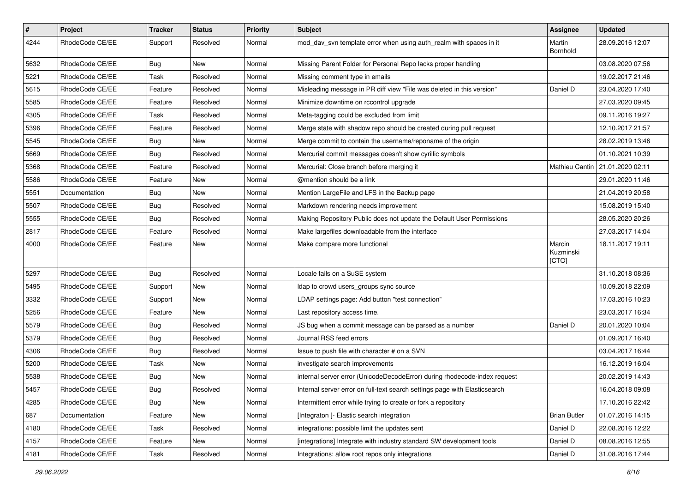| $\pmb{\#}$ | <b>Project</b>  | <b>Tracker</b> | <b>Status</b> | <b>Priority</b> | <b>Subject</b>                                                             | Assignee                     | <b>Updated</b>                    |
|------------|-----------------|----------------|---------------|-----------------|----------------------------------------------------------------------------|------------------------------|-----------------------------------|
| 4244       | RhodeCode CE/EE | Support        | Resolved      | Normal          | mod_dav_svn template error when using auth_realm with spaces in it         | Martin<br>Bornhold           | 28.09.2016 12:07                  |
| 5632       | RhodeCode CE/EE | Bug            | <b>New</b>    | Normal          | Missing Parent Folder for Personal Repo lacks proper handling              |                              | 03.08.2020 07:56                  |
| 5221       | RhodeCode CE/EE | Task           | Resolved      | Normal          | Missing comment type in emails                                             |                              | 19.02.2017 21:46                  |
| 5615       | RhodeCode CE/EE | Feature        | Resolved      | Normal          | Misleading message in PR diff view "File was deleted in this version"      | Daniel D                     | 23.04.2020 17:40                  |
| 5585       | RhodeCode CE/EE | Feature        | Resolved      | Normal          | Minimize downtime on rccontrol upgrade                                     |                              | 27.03.2020 09:45                  |
| 4305       | RhodeCode CE/EE | Task           | Resolved      | Normal          | Meta-tagging could be excluded from limit                                  |                              | 09.11.2016 19:27                  |
| 5396       | RhodeCode CE/EE | Feature        | Resolved      | Normal          | Merge state with shadow repo should be created during pull request         |                              | 12.10.2017 21:57                  |
| 5545       | RhodeCode CE/EE | Bug            | New           | Normal          | Merge commit to contain the username/reponame of the origin                |                              | 28.02.2019 13:46                  |
| 5669       | RhodeCode CE/EE | Bug            | Resolved      | Normal          | Mercurial commit messages doesn't show cyrillic symbols                    |                              | 01.10.2021 10:39                  |
| 5368       | RhodeCode CE/EE | Feature        | Resolved      | Normal          | Mercurial: Close branch before merging it                                  |                              | Mathieu Cantin   21.01.2020 02:11 |
| 5586       | RhodeCode CE/EE | Feature        | New           | Normal          | @mention should be a link                                                  |                              | 29.01.2020 11:46                  |
| 5551       | Documentation   | Bug            | New           | Normal          | Mention LargeFile and LFS in the Backup page                               |                              | 21.04.2019 20:58                  |
| 5507       | RhodeCode CE/EE | Bug            | Resolved      | Normal          | Markdown rendering needs improvement                                       |                              | 15.08.2019 15:40                  |
| 5555       | RhodeCode CE/EE | Bug            | Resolved      | Normal          | Making Repository Public does not update the Default User Permissions      |                              | 28.05.2020 20:26                  |
| 2817       | RhodeCode CE/EE | Feature        | Resolved      | Normal          | Make largefiles downloadable from the interface                            |                              | 27.03.2017 14:04                  |
| 4000       | RhodeCode CE/EE | Feature        | New           | Normal          | Make compare more functional                                               | Marcin<br>Kuzminski<br>[CTO] | 18.11.2017 19:11                  |
| 5297       | RhodeCode CE/EE | Bug            | Resolved      | Normal          | Locale fails on a SuSE system                                              |                              | 31.10.2018 08:36                  |
| 5495       | RhodeCode CE/EE | Support        | New           | Normal          | Idap to crowd users_groups sync source                                     |                              | 10.09.2018 22:09                  |
| 3332       | RhodeCode CE/EE | Support        | New           | Normal          | LDAP settings page: Add button "test connection"                           |                              | 17.03.2016 10:23                  |
| 5256       | RhodeCode CE/EE | Feature        | <b>New</b>    | Normal          | Last repository access time.                                               |                              | 23.03.2017 16:34                  |
| 5579       | RhodeCode CE/EE | Bug            | Resolved      | Normal          | JS bug when a commit message can be parsed as a number                     | Daniel D                     | 20.01.2020 10:04                  |
| 5379       | RhodeCode CE/EE | <b>Bug</b>     | Resolved      | Normal          | Journal RSS feed errors                                                    |                              | 01.09.2017 16:40                  |
| 4306       | RhodeCode CE/EE | Bug            | Resolved      | Normal          | Issue to push file with character # on a SVN                               |                              | 03.04.2017 16:44                  |
| 5200       | RhodeCode CE/EE | Task           | New           | Normal          | investigate search improvements                                            |                              | 16.12.2019 16:04                  |
| 5538       | RhodeCode CE/EE | Bug            | New           | Normal          | internal server error (UnicodeDecodeError) during rhodecode-index request  |                              | 20.02.2019 14:43                  |
| 5457       | RhodeCode CE/EE | Bug            | Resolved      | Normal          | Internal server error on full-text search settings page with Elasticsearch |                              | 16.04.2018 09:08                  |
| 4285       | RhodeCode CE/EE | Bug            | New           | Normal          | Intermittent error while trying to create or fork a repository             |                              | 17.10.2016 22:42                  |
| 687        | Documentation   | Feature        | New           | Normal          | [Integraton] - Elastic search integration                                  | <b>Brian Butler</b>          | 01.07.2016 14:15                  |
| 4180       | RhodeCode CE/EE | Task           | Resolved      | Normal          | integrations: possible limit the updates sent                              | Daniel D                     | 22.08.2016 12:22                  |
| 4157       | RhodeCode CE/EE | Feature        | New           | Normal          | [integrations] Integrate with industry standard SW development tools       | Daniel D                     | 08.08.2016 12:55                  |
| 4181       | RhodeCode CE/EE | Task           | Resolved      | Normal          | Integrations: allow root repos only integrations                           | Daniel D                     | 31.08.2016 17:44                  |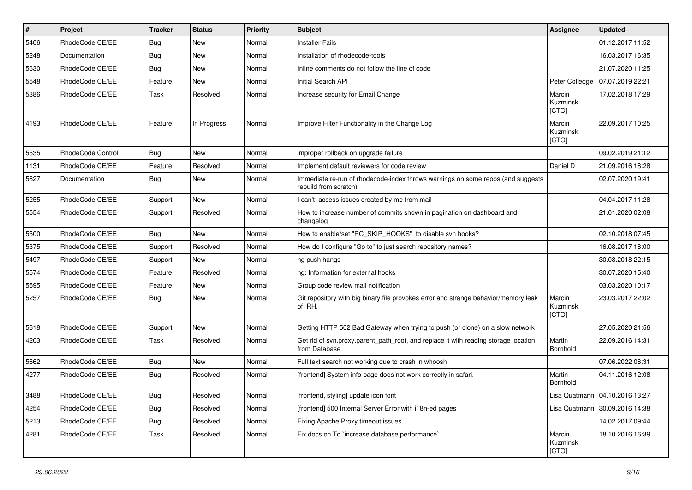| #    | Project           | <b>Tracker</b> | <b>Status</b> | <b>Priority</b> | <b>Subject</b>                                                                                           | Assignee                     | <b>Updated</b>                   |
|------|-------------------|----------------|---------------|-----------------|----------------------------------------------------------------------------------------------------------|------------------------------|----------------------------------|
| 5406 | RhodeCode CE/EE   | Bug            | New           | Normal          | <b>Installer Fails</b>                                                                                   |                              | 01.12.2017 11:52                 |
| 5248 | Documentation     | Bug            | <b>New</b>    | Normal          | Installation of rhodecode-tools                                                                          |                              | 16.03.2017 16:35                 |
| 5630 | RhodeCode CE/EE   | Bug            | New           | Normal          | Inline comments do not follow the line of code                                                           |                              | 21.07.2020 11:25                 |
| 5548 | RhodeCode CE/EE   | Feature        | New           | Normal          | Initial Search API                                                                                       | Peter Colledge               | 07.07.2019 22:21                 |
| 5386 | RhodeCode CE/EE   | Task           | Resolved      | Normal          | Increase security for Email Change                                                                       | Marcin<br>Kuzminski<br>[CTO] | 17.02.2018 17:29                 |
| 4193 | RhodeCode CE/EE   | Feature        | In Progress   | Normal          | Improve Filter Functionality in the Change Log                                                           | Marcin<br>Kuzminski<br>[CTO] | 22.09.2017 10:25                 |
| 5535 | RhodeCode Control | Bug            | New           | Normal          | improper rollback on upgrade failure                                                                     |                              | 09.02.2019 21:12                 |
| 1131 | RhodeCode CE/EE   | Feature        | Resolved      | Normal          | Implement default reviewers for code review                                                              | Daniel D                     | 21.09.2016 18:28                 |
| 5627 | Documentation     | Bug            | <b>New</b>    | Normal          | Immediate re-run of rhodecode-index throws warnings on some repos (and suggests<br>rebuild from scratch) |                              | 02.07.2020 19:41                 |
| 5255 | RhodeCode CE/EE   | Support        | <b>New</b>    | Normal          | I can't access issues created by me from mail                                                            |                              | 04.04.2017 11:28                 |
| 5554 | RhodeCode CE/EE   | Support        | Resolved      | Normal          | How to increase number of commits shown in pagination on dashboard and<br>changelog                      |                              | 21.01.2020 02:08                 |
| 5500 | RhodeCode CE/EE   | Bug            | New           | Normal          | How to enable/set "RC_SKIP_HOOKS" to disable svn hooks?                                                  |                              | 02.10.2018 07:45                 |
| 5375 | RhodeCode CE/EE   | Support        | Resolved      | Normal          | How do I configure "Go to" to just search repository names?                                              |                              | 16.08.2017 18:00                 |
| 5497 | RhodeCode CE/EE   | Support        | <b>New</b>    | Normal          | hg push hangs                                                                                            |                              | 30.08.2018 22:15                 |
| 5574 | RhodeCode CE/EE   | Feature        | Resolved      | Normal          | hg: Information for external hooks                                                                       |                              | 30.07.2020 15:40                 |
| 5595 | RhodeCode CE/EE   | Feature        | New           | Normal          | Group code review mail notification                                                                      |                              | 03.03.2020 10:17                 |
| 5257 | RhodeCode CE/EE   | Bug            | New           | Normal          | Git repository with big binary file provokes error and strange behavior/memory leak<br>of RH.            | Marcin<br>Kuzminski<br>[CTO] | 23.03.2017 22:02                 |
| 5618 | RhodeCode CE/EE   | Support        | <b>New</b>    | Normal          | Getting HTTP 502 Bad Gateway when trying to push (or clone) on a slow network                            |                              | 27.05.2020 21:56                 |
| 4203 | RhodeCode CE/EE   | Task           | Resolved      | Normal          | Get rid of svn.proxy.parent_path_root, and replace it with reading storage location<br>from Database     | Martin<br>Bornhold           | 22.09.2016 14:31                 |
| 5662 | RhodeCode CE/EE   | Bug            | New           | Normal          | Full text search not working due to crash in whoosh                                                      |                              | 07.06.2022 08:31                 |
| 4277 | RhodeCode CE/EE   | Bug            | Resolved      | Normal          | [frontend] System info page does not work correctly in safari.                                           | Martin<br>Bornhold           | 04.11.2016 12:08                 |
| 3488 | RhodeCode CE/EE   | Bug            | Resolved      | Normal          | [frontend, styling] update icon font                                                                     |                              | Lisa Quatmann   04.10.2016 13:27 |
| 4254 | RhodeCode CE/EE   | <b>Bug</b>     | Resolved      | Normal          | [frontend] 500 Internal Server Error with i18n-ed pages                                                  | Lisa Quatmann                | 30.09.2016 14:38                 |
| 5213 | RhodeCode CE/EE   | Bug            | Resolved      | Normal          | Fixing Apache Proxy timeout issues                                                                       |                              | 14.02.2017 09:44                 |
| 4281 | RhodeCode CE/EE   | Task           | Resolved      | Normal          | Fix docs on To `increase database performance`                                                           | Marcin<br>Kuzminski<br>[CTO] | 18.10.2016 16:39                 |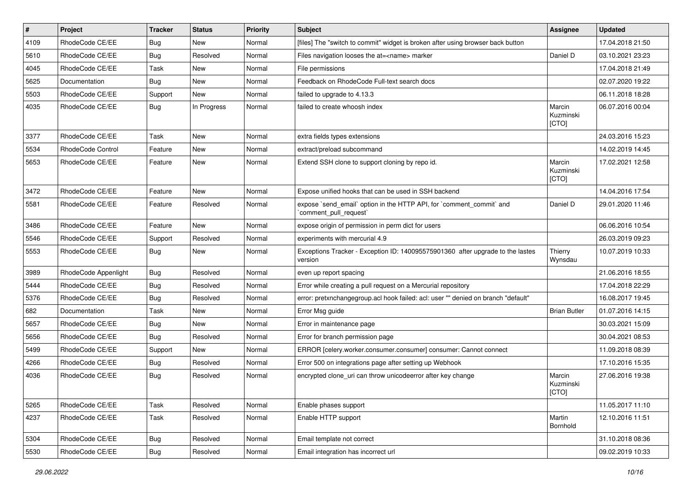| #    | Project                  | <b>Tracker</b> | <b>Status</b> | <b>Priority</b> | <b>Subject</b>                                                                                 | Assignee                     | <b>Updated</b>   |
|------|--------------------------|----------------|---------------|-----------------|------------------------------------------------------------------------------------------------|------------------------------|------------------|
| 4109 | RhodeCode CE/EE          | <b>Bug</b>     | New           | Normal          | [files] The "switch to commit" widget is broken after using browser back button                |                              | 17.04.2018 21:50 |
| 5610 | RhodeCode CE/EE          | Bug            | Resolved      | Normal          | Files navigation looses the at= <name> marker</name>                                           | Daniel D                     | 03.10.2021 23:23 |
| 4045 | RhodeCode CE/EE          | Task           | New           | Normal          | File permissions                                                                               |                              | 17.04.2018 21:49 |
| 5625 | Documentation            | Bug            | <b>New</b>    | Normal          | Feedback on RhodeCode Full-text search docs                                                    |                              | 02.07.2020 19:22 |
| 5503 | RhodeCode CE/EE          | Support        | New           | Normal          | failed to upgrade to 4.13.3                                                                    |                              | 06.11.2018 18:28 |
| 4035 | RhodeCode CE/EE          | Bug            | In Progress   | Normal          | failed to create whoosh index                                                                  | Marcin<br>Kuzminski<br>[CTO] | 06.07.2016 00:04 |
| 3377 | RhodeCode CE/EE          | Task           | New           | Normal          | extra fields types extensions                                                                  |                              | 24.03.2016 15:23 |
| 5534 | <b>RhodeCode Control</b> | Feature        | <b>New</b>    | Normal          | extract/preload subcommand                                                                     |                              | 14.02.2019 14:45 |
| 5653 | RhodeCode CE/EE          | Feature        | New           | Normal          | Extend SSH clone to support cloning by repo id.                                                | Marcin<br>Kuzminski<br>[CTO] | 17.02.2021 12:58 |
| 3472 | RhodeCode CE/EE          | Feature        | <b>New</b>    | Normal          | Expose unified hooks that can be used in SSH backend                                           |                              | 14.04.2016 17:54 |
| 5581 | RhodeCode CE/EE          | Feature        | Resolved      | Normal          | expose `send email` option in the HTTP API, for `comment commit` and<br>`comment pull request` | Daniel D                     | 29.01.2020 11:46 |
| 3486 | RhodeCode CE/EE          | Feature        | New           | Normal          | expose origin of permission in perm dict for users                                             |                              | 06.06.2016 10:54 |
| 5546 | RhodeCode CE/EE          | Support        | Resolved      | Normal          | experiments with mercurial 4.9                                                                 |                              | 26.03.2019 09:23 |
| 5553 | RhodeCode CE/EE          | Bug            | New           | Normal          | Exceptions Tracker - Exception ID: 140095575901360 after upgrade to the lastes<br>version      | Thierry<br>Wynsdau           | 10.07.2019 10:33 |
| 3989 | RhodeCode Appenlight     | Bug            | Resolved      | Normal          | even up report spacing                                                                         |                              | 21.06.2016 18:55 |
| 5444 | RhodeCode CE/EE          | Bug            | Resolved      | Normal          | Error while creating a pull request on a Mercurial repository                                  |                              | 17.04.2018 22:29 |
| 5376 | RhodeCode CE/EE          | Bug            | Resolved      | Normal          | error: pretxnchangegroup.acl hook failed: acl: user "" denied on branch "default"              |                              | 16.08.2017 19:45 |
| 682  | Documentation            | Task           | <b>New</b>    | Normal          | Error Msg guide                                                                                | <b>Brian Butler</b>          | 01.07.2016 14:15 |
| 5657 | RhodeCode CE/EE          | Bug            | New           | Normal          | Error in maintenance page                                                                      |                              | 30.03.2021 15:09 |
| 5656 | RhodeCode CE/EE          | Bug            | Resolved      | Normal          | Error for branch permission page                                                               |                              | 30.04.2021 08:53 |
| 5499 | RhodeCode CE/EE          | Support        | New           | Normal          | ERROR [celery.worker.consumer.consumer] consumer: Cannot connect                               |                              | 11.09.2018 08:39 |
| 4266 | RhodeCode CE/EE          | <b>Bug</b>     | Resolved      | Normal          | Error 500 on integrations page after setting up Webhook                                        |                              | 17.10.2016 15:35 |
| 4036 | RhodeCode CE/EE          | Bug            | Resolved      | Normal          | encrypted clone uri can throw unicodeerror after key change                                    | Marcin<br>Kuzminski<br>[CTO] | 27.06.2016 19:38 |
| 5265 | RhodeCode CE/EE          | Task           | Resolved      | Normal          | Enable phases support                                                                          |                              | 11.05.2017 11:10 |
| 4237 | RhodeCode CE/EE          | Task           | Resolved      | Normal          | Enable HTTP support                                                                            | Martin<br>Bornhold           | 12.10.2016 11:51 |
| 5304 | RhodeCode CE/EE          | <b>Bug</b>     | Resolved      | Normal          | Email template not correct                                                                     |                              | 31.10.2018 08:36 |
| 5530 | RhodeCode CE/EE          | <b>Bug</b>     | Resolved      | Normal          | Email integration has incorrect url                                                            |                              | 09.02.2019 10:33 |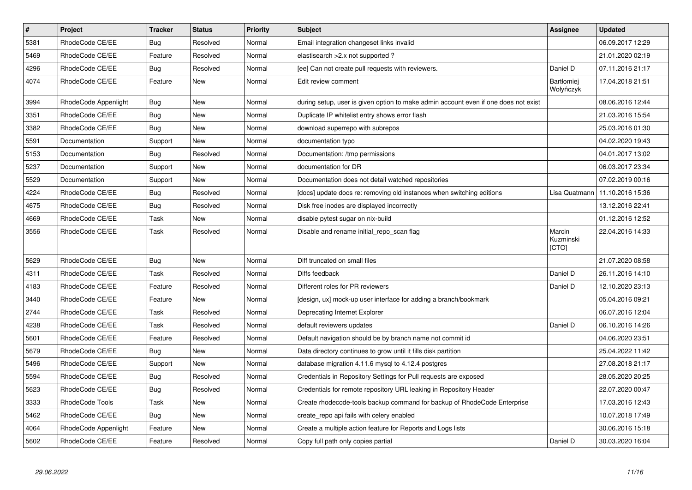| $\vert$ # | <b>Project</b>       | <b>Tracker</b> | <b>Status</b> | <b>Priority</b> | <b>Subject</b>                                                                      | Assignee                       | <b>Updated</b>   |
|-----------|----------------------|----------------|---------------|-----------------|-------------------------------------------------------------------------------------|--------------------------------|------------------|
| 5381      | RhodeCode CE/EE      | Bug            | Resolved      | Normal          | Email integration changeset links invalid                                           |                                | 06.09.2017 12:29 |
| 5469      | RhodeCode CE/EE      | Feature        | Resolved      | Normal          | elastisearch > 2.x not supported?                                                   |                                | 21.01.2020 02:19 |
| 4296      | RhodeCode CE/EE      | Bug            | Resolved      | Normal          | [ee] Can not create pull requests with reviewers.                                   | Daniel D                       | 07.11.2016 21:17 |
| 4074      | RhodeCode CE/EE      | Feature        | <b>New</b>    | Normal          | Edit review comment                                                                 | <b>Bartłomiej</b><br>Wołyńczyk | 17.04.2018 21:51 |
| 3994      | RhodeCode Appenlight | Bug            | <b>New</b>    | Normal          | during setup, user is given option to make admin account even if one does not exist |                                | 08.06.2016 12:44 |
| 3351      | RhodeCode CE/EE      | <b>Bug</b>     | <b>New</b>    | Normal          | Duplicate IP whitelist entry shows error flash                                      |                                | 21.03.2016 15:54 |
| 3382      | RhodeCode CE/EE      | Bug            | <b>New</b>    | Normal          | download superrepo with subrepos                                                    |                                | 25.03.2016 01:30 |
| 5591      | Documentation        | Support        | <b>New</b>    | Normal          | documentation typo                                                                  |                                | 04.02.2020 19:43 |
| 5153      | Documentation        | Bug            | Resolved      | Normal          | Documentation: /tmp permissions                                                     |                                | 04.01.2017 13:02 |
| 5237      | Documentation        | Support        | <b>New</b>    | Normal          | documentation for DR                                                                |                                | 06.03.2017 23:34 |
| 5529      | Documentation        | Support        | <b>New</b>    | Normal          | Documentation does not detail watched repositories                                  |                                | 07.02.2019 00:16 |
| 4224      | RhodeCode CE/EE      | Bug            | Resolved      | Normal          | [docs] update docs re: removing old instances when switching editions               | Lisa Quatmann                  | 11.10.2016 15:36 |
| 4675      | RhodeCode CE/EE      | Bug            | Resolved      | Normal          | Disk free inodes are displayed incorrectly                                          |                                | 13.12.2016 22:41 |
| 4669      | RhodeCode CE/EE      | Task           | <b>New</b>    | Normal          | disable pytest sugar on nix-build                                                   |                                | 01.12.2016 12:52 |
| 3556      | RhodeCode CE/EE      | Task           | Resolved      | Normal          | Disable and rename initial_repo_scan flag                                           | Marcin<br>Kuzminski<br>[CTO]   | 22.04.2016 14:33 |
| 5629      | RhodeCode CE/EE      | Bug            | New           | Normal          | Diff truncated on small files                                                       |                                | 21.07.2020 08:58 |
| 4311      | RhodeCode CE/EE      | Task           | Resolved      | Normal          | Diffs feedback                                                                      | Daniel D                       | 26.11.2016 14:10 |
| 4183      | RhodeCode CE/EE      | Feature        | Resolved      | Normal          | Different roles for PR reviewers                                                    | Daniel D                       | 12.10.2020 23:13 |
| 3440      | RhodeCode CE/EE      | Feature        | <b>New</b>    | Normal          | [design, ux] mock-up user interface for adding a branch/bookmark                    |                                | 05.04.2016 09:21 |
| 2744      | RhodeCode CE/EE      | Task           | Resolved      | Normal          | Deprecating Internet Explorer                                                       |                                | 06.07.2016 12:04 |
| 4238      | RhodeCode CE/EE      | Task           | Resolved      | Normal          | default reviewers updates                                                           | Daniel D                       | 06.10.2016 14:26 |
| 5601      | RhodeCode CE/EE      | Feature        | Resolved      | Normal          | Default navigation should be by branch name not commit id                           |                                | 04.06.2020 23:51 |
| 5679      | RhodeCode CE/EE      | <b>Bug</b>     | <b>New</b>    | Normal          | Data directory continues to grow until it fills disk partition                      |                                | 25.04.2022 11:42 |
| 5496      | RhodeCode CE/EE      | Support        | <b>New</b>    | Normal          | database migration 4.11.6 mysql to 4.12.4 postgres                                  |                                | 27.08.2018 21:17 |
| 5594      | RhodeCode CE/EE      | Bug            | Resolved      | Normal          | Credentials in Repository Settings for Pull requests are exposed                    |                                | 28.05.2020 20:25 |
| 5623      | RhodeCode CE/EE      | Bug            | Resolved      | Normal          | Credentials for remote repository URL leaking in Repository Header                  |                                | 22.07.2020 00:47 |
| 3333      | RhodeCode Tools      | Task           | <b>New</b>    | Normal          | Create rhodecode-tools backup command for backup of RhodeCode Enterprise            |                                | 17.03.2016 12:43 |
| 5462      | RhodeCode CE/EE      | Bug            | <b>New</b>    | Normal          | create_repo api fails with celery enabled                                           |                                | 10.07.2018 17:49 |
| 4064      | RhodeCode Appenlight | Feature        | <b>New</b>    | Normal          | Create a multiple action feature for Reports and Logs lists                         |                                | 30.06.2016 15:18 |
| 5602      | RhodeCode CE/EE      | Feature        | Resolved      | Normal          | Copy full path only copies partial                                                  | Daniel D                       | 30.03.2020 16:04 |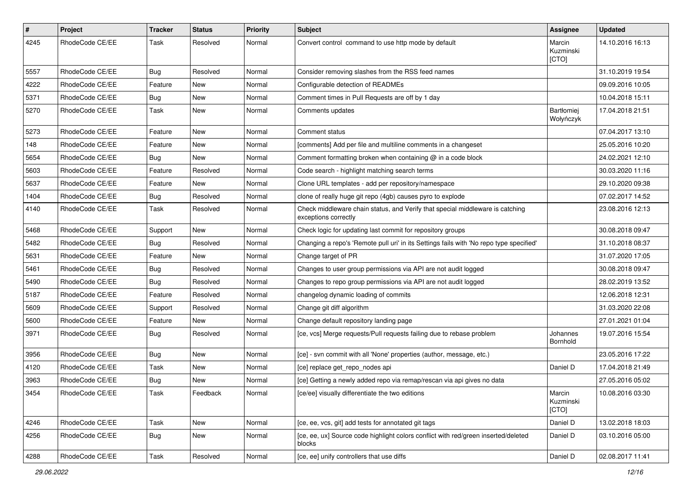| $\sharp$ | <b>Project</b>  | Tracker    | <b>Status</b> | <b>Priority</b> | <b>Subject</b>                                                                                        | <b>Assignee</b>                | <b>Updated</b>   |
|----------|-----------------|------------|---------------|-----------------|-------------------------------------------------------------------------------------------------------|--------------------------------|------------------|
| 4245     | RhodeCode CE/EE | Task       | Resolved      | Normal          | Convert control command to use http mode by default                                                   | Marcin<br>Kuzminski<br>[CTO]   | 14.10.2016 16:13 |
| 5557     | RhodeCode CE/EE | Bug        | Resolved      | Normal          | Consider removing slashes from the RSS feed names                                                     |                                | 31.10.2019 19:54 |
| 4222     | RhodeCode CE/EE | Feature    | New           | Normal          | Configurable detection of READMEs                                                                     |                                | 09.09.2016 10:05 |
| 5371     | RhodeCode CE/EE | Bug        | New           | Normal          | Comment times in Pull Requests are off by 1 day                                                       |                                | 10.04.2018 15:11 |
| 5270     | RhodeCode CE/EE | Task       | New           | Normal          | Comments updates                                                                                      | <b>Bartłomiej</b><br>Wołyńczyk | 17.04.2018 21:51 |
| 5273     | RhodeCode CE/EE | Feature    | New           | Normal          | Comment status                                                                                        |                                | 07.04.2017 13:10 |
| 148      | RhodeCode CE/EE | Feature    | New           | Normal          | [comments] Add per file and multiline comments in a changeset                                         |                                | 25.05.2016 10:20 |
| 5654     | RhodeCode CE/EE | <b>Bug</b> | New           | Normal          | Comment formatting broken when containing $@$ in a code block                                         |                                | 24.02.2021 12:10 |
| 5603     | RhodeCode CE/EE | Feature    | Resolved      | Normal          | Code search - highlight matching search terms                                                         |                                | 30.03.2020 11:16 |
| 5637     | RhodeCode CE/EE | Feature    | New           | Normal          | Clone URL templates - add per repository/namespace                                                    |                                | 29.10.2020 09:38 |
| 1404     | RhodeCode CE/EE | Bug        | Resolved      | Normal          | clone of really huge git repo (4gb) causes pyro to explode                                            |                                | 07.02.2017 14:52 |
| 4140     | RhodeCode CE/EE | Task       | Resolved      | Normal          | Check middleware chain status, and Verify that special middleware is catching<br>exceptions correctly |                                | 23.08.2016 12:13 |
| 5468     | RhodeCode CE/EE | Support    | New           | Normal          | Check logic for updating last commit for repository groups                                            |                                | 30.08.2018 09:47 |
| 5482     | RhodeCode CE/EE | <b>Bug</b> | Resolved      | Normal          | Changing a repo's 'Remote pull uri' in its Settings fails with 'No repo type specified'               |                                | 31.10.2018 08:37 |
| 5631     | RhodeCode CE/EE | Feature    | New           | Normal          | Change target of PR                                                                                   |                                | 31.07.2020 17:05 |
| 5461     | RhodeCode CE/EE | <b>Bug</b> | Resolved      | Normal          | Changes to user group permissions via API are not audit logged                                        |                                | 30.08.2018 09:47 |
| 5490     | RhodeCode CE/EE | Bug        | Resolved      | Normal          | Changes to repo group permissions via API are not audit logged                                        |                                | 28.02.2019 13:52 |
| 5187     | RhodeCode CE/EE | Feature    | Resolved      | Normal          | changelog dynamic loading of commits                                                                  |                                | 12.06.2018 12:31 |
| 5609     | RhodeCode CE/EE | Support    | Resolved      | Normal          | Change git diff algorithm                                                                             |                                | 31.03.2020 22:08 |
| 5600     | RhodeCode CE/EE | Feature    | New           | Normal          | Change default repository landing page                                                                |                                | 27.01.2021 01:04 |
| 3971     | RhodeCode CE/EE | Bug        | Resolved      | Normal          | [ce, vcs] Merge requests/Pull requests failing due to rebase problem                                  | Johannes<br>Bornhold           | 19.07.2016 15:54 |
| 3956     | RhodeCode CE/EE | <b>Bug</b> | New           | Normal          | [ce] - svn commit with all 'None' properties (author, message, etc.)                                  |                                | 23.05.2016 17:22 |
| 4120     | RhodeCode CE/EE | Task       | New           | Normal          | [ce] replace get_repo_nodes api                                                                       | Daniel D                       | 17.04.2018 21:49 |
| 3963     | RhodeCode CE/EE | <b>Bug</b> | New           | Normal          | [ce] Getting a newly added repo via remap/rescan via api gives no data                                |                                | 27.05.2016 05:02 |
| 3454     | RhodeCode CE/EE | Task       | Feedback      | Normal          | [ce/ee] visually differentiate the two editions                                                       | Marcin<br>Kuzminski<br>[CTO]   | 10.08.2016 03:30 |
| 4246     | RhodeCode CE/EE | Task       | New           | Normal          | [ce, ee, vcs, git] add tests for annotated git tags                                                   | Daniel D                       | 13.02.2018 18:03 |
| 4256     | RhodeCode CE/EE | Bug        | New           | Normal          | [ce, ee, ux] Source code highlight colors conflict with red/green inserted/deleted<br>blocks          | Daniel D                       | 03.10.2016 05:00 |
| 4288     | RhodeCode CE/EE | Task       | Resolved      | Normal          | [ce, ee] unify controllers that use diffs                                                             | Daniel D                       | 02.08.2017 11:41 |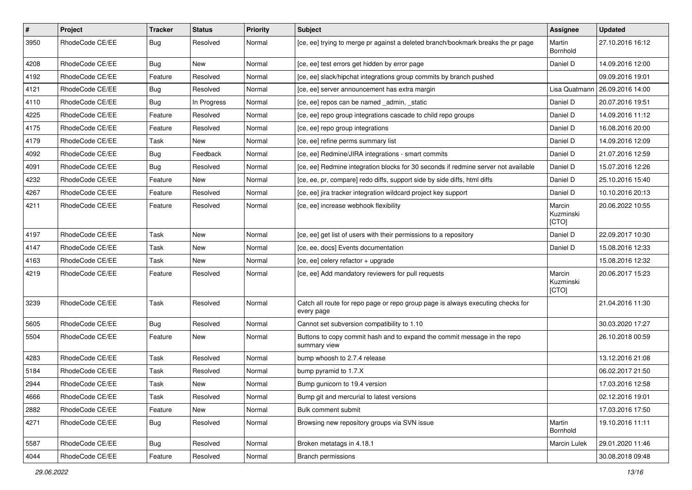| $\pmb{\#}$ | Project         | <b>Tracker</b> | <b>Status</b> | <b>Priority</b> | <b>Subject</b>                                                                                | <b>Assignee</b>              | <b>Updated</b>   |
|------------|-----------------|----------------|---------------|-----------------|-----------------------------------------------------------------------------------------------|------------------------------|------------------|
| 3950       | RhodeCode CE/EE | Bug            | Resolved      | Normal          | [ce, ee] trying to merge pr against a deleted branch/bookmark breaks the pr page              | Martin<br>Bornhold           | 27.10.2016 16:12 |
| 4208       | RhodeCode CE/EE | Bug            | New           | Normal          | [ce, ee] test errors get hidden by error page                                                 | Daniel D                     | 14.09.2016 12:00 |
| 4192       | RhodeCode CE/EE | Feature        | Resolved      | Normal          | [ce, ee] slack/hipchat integrations group commits by branch pushed                            |                              | 09.09.2016 19:01 |
| 4121       | RhodeCode CE/EE | Bug            | Resolved      | Normal          | [ce, ee] server announcement has extra margin                                                 | Lisa Quatmann                | 26.09.2016 14:00 |
| 4110       | RhodeCode CE/EE | Bug            | In Progress   | Normal          | [ce, ee] repos can be named _admin, _static                                                   | Daniel D                     | 20.07.2016 19:51 |
| 4225       | RhodeCode CE/EE | Feature        | Resolved      | Normal          | [ce, ee] repo group integrations cascade to child repo groups                                 | Daniel D                     | 14.09.2016 11:12 |
| 4175       | RhodeCode CE/EE | Feature        | Resolved      | Normal          | [ce, ee] repo group integrations                                                              | Daniel D                     | 16.08.2016 20:00 |
| 4179       | RhodeCode CE/EE | Task           | New           | Normal          | [ce, ee] refine perms summary list                                                            | Daniel D                     | 14.09.2016 12:09 |
| 4092       | RhodeCode CE/EE | Bug            | Feedback      | Normal          | [ce, ee] Redmine/JIRA integrations - smart commits                                            | Daniel D                     | 21.07.2016 12:59 |
| 4091       | RhodeCode CE/EE | Bug            | Resolved      | Normal          | [ce, ee] Redmine integration blocks for 30 seconds if redmine server not available            | Daniel D                     | 15.07.2016 12:26 |
| 4232       | RhodeCode CE/EE | Feature        | New           | Normal          | [ce, ee, pr, compare] redo diffs, support side by side diffs, html diffs                      | Daniel D                     | 25.10.2016 15:40 |
| 4267       | RhodeCode CE/EE | Feature        | Resolved      | Normal          | [ce, ee] jira tracker integration wildcard project key support                                | Daniel D                     | 10.10.2016 20:13 |
| 4211       | RhodeCode CE/EE | Feature        | Resolved      | Normal          | [ce, ee] increase webhook flexibility                                                         | Marcin<br>Kuzminski<br>[CTO] | 20.06.2022 10:55 |
| 4197       | RhodeCode CE/EE | Task           | New           | Normal          | [ce, ee] get list of users with their permissions to a repository                             | Daniel D                     | 22.09.2017 10:30 |
| 4147       | RhodeCode CE/EE | Task           | New           | Normal          | [ce, ee, docs] Events documentation                                                           | Daniel D                     | 15.08.2016 12:33 |
| 4163       | RhodeCode CE/EE | Task           | New           | Normal          | [ce, ee] celery refactor + upgrade                                                            |                              | 15.08.2016 12:32 |
| 4219       | RhodeCode CE/EE | Feature        | Resolved      | Normal          | [ce, ee] Add mandatory reviewers for pull requests                                            | Marcin<br>Kuzminski<br>[CTO] | 20.06.2017 15:23 |
| 3239       | RhodeCode CE/EE | Task           | Resolved      | Normal          | Catch all route for repo page or repo group page is always executing checks for<br>every page |                              | 21.04.2016 11:30 |
| 5605       | RhodeCode CE/EE | Bug            | Resolved      | Normal          | Cannot set subversion compatibility to 1.10                                                   |                              | 30.03.2020 17:27 |
| 5504       | RhodeCode CE/EE | Feature        | New           | Normal          | Buttons to copy commit hash and to expand the commit message in the repo<br>summary view      |                              | 26.10.2018 00:59 |
| 4283       | RhodeCode CE/EE | Task           | Resolved      | Normal          | bump whoosh to 2.7.4 release                                                                  |                              | 13.12.2016 21:08 |
| 5184       | RhodeCode CE/EE | Task           | Resolved      | Normal          | bump pyramid to 1.7.X                                                                         |                              | 06.02.2017 21:50 |
| 2944       | RhodeCode CE/EE | Task           | New           | Normal          | Bump gunicorn to 19.4 version                                                                 |                              | 17.03.2016 12:58 |
| 4666       | RhodeCode CE/EE | Task           | Resolved      | Normal          | Bump git and mercurial to latest versions                                                     |                              | 02.12.2016 19:01 |
| 2882       | RhodeCode CE/EE | Feature        | New           | Normal          | Bulk comment submit                                                                           |                              | 17.03.2016 17:50 |
| 4271       | RhodeCode CE/EE | Bug            | Resolved      | Normal          | Browsing new repository groups via SVN issue                                                  | Martin<br>Bornhold           | 19.10.2016 11:11 |
| 5587       | RhodeCode CE/EE | Bug            | Resolved      | Normal          | Broken metatags in 4.18.1                                                                     | Marcin Lulek                 | 29.01.2020 11:46 |
| 4044       | RhodeCode CE/EE | Feature        | Resolved      | Normal          | <b>Branch permissions</b>                                                                     |                              | 30.08.2018 09:48 |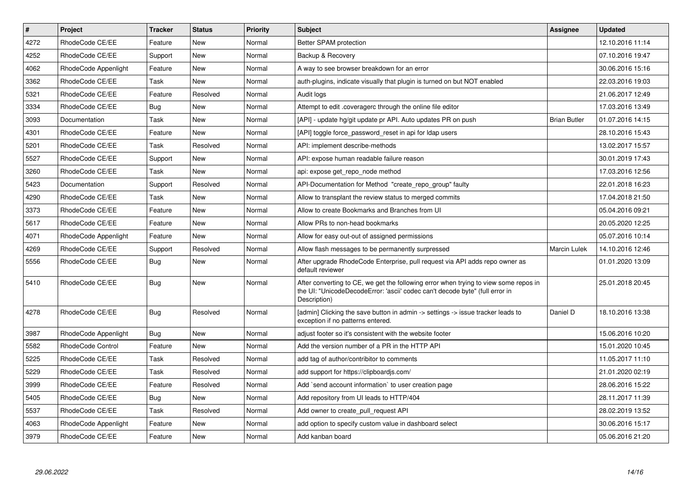| $\pmb{\#}$ | <b>Project</b>           | <b>Tracker</b> | <b>Status</b> | <b>Priority</b> | <b>Subject</b>                                                                                                                                                                       | Assignee            | <b>Updated</b>   |
|------------|--------------------------|----------------|---------------|-----------------|--------------------------------------------------------------------------------------------------------------------------------------------------------------------------------------|---------------------|------------------|
| 4272       | RhodeCode CE/EE          | Feature        | <b>New</b>    | Normal          | Better SPAM protection                                                                                                                                                               |                     | 12.10.2016 11:14 |
| 4252       | RhodeCode CE/EE          | Support        | New           | Normal          | Backup & Recovery                                                                                                                                                                    |                     | 07.10.2016 19:47 |
| 4062       | RhodeCode Appenlight     | Feature        | New           | Normal          | A way to see browser breakdown for an error                                                                                                                                          |                     | 30.06.2016 15:16 |
| 3362       | RhodeCode CE/EE          | Task           | New           | Normal          | auth-plugins, indicate visually that plugin is turned on but NOT enabled                                                                                                             |                     | 22.03.2016 19:03 |
| 5321       | RhodeCode CE/EE          | Feature        | Resolved      | Normal          | Audit logs                                                                                                                                                                           |                     | 21.06.2017 12:49 |
| 3334       | RhodeCode CE/EE          | Bug            | New           | Normal          | Attempt to edit .coveragerc through the online file editor                                                                                                                           |                     | 17.03.2016 13:49 |
| 3093       | Documentation            | Task           | <b>New</b>    | Normal          | [API] - update hg/git update pr API. Auto updates PR on push                                                                                                                         | <b>Brian Butler</b> | 01.07.2016 14:15 |
| 4301       | RhodeCode CE/EE          | Feature        | <b>New</b>    | Normal          | [API] toggle force_password_reset in api for Idap users                                                                                                                              |                     | 28.10.2016 15:43 |
| 5201       | RhodeCode CE/EE          | Task           | Resolved      | Normal          | API: implement describe-methods                                                                                                                                                      |                     | 13.02.2017 15:57 |
| 5527       | RhodeCode CE/EE          | Support        | New           | Normal          | API: expose human readable failure reason                                                                                                                                            |                     | 30.01.2019 17:43 |
| 3260       | RhodeCode CE/EE          | Task           | New           | Normal          | api: expose get repo node method                                                                                                                                                     |                     | 17.03.2016 12:56 |
| 5423       | Documentation            | Support        | Resolved      | Normal          | API-Documentation for Method "create repo group" faulty                                                                                                                              |                     | 22.01.2018 16:23 |
| 4290       | RhodeCode CE/EE          | Task           | New           | Normal          | Allow to transplant the review status to merged commits                                                                                                                              |                     | 17.04.2018 21:50 |
| 3373       | RhodeCode CE/EE          | Feature        | New           | Normal          | Allow to create Bookmarks and Branches from UI                                                                                                                                       |                     | 05.04.2016 09:21 |
| 5617       | RhodeCode CE/EE          | Feature        | <b>New</b>    | Normal          | Allow PRs to non-head bookmarks                                                                                                                                                      |                     | 20.05.2020 12:25 |
| 4071       | RhodeCode Appenlight     | Feature        | <b>New</b>    | Normal          | Allow for easy out-out of assigned permissions                                                                                                                                       |                     | 05.07.2016 10:14 |
| 4269       | RhodeCode CE/EE          | Support        | Resolved      | Normal          | Allow flash messages to be permanently surpressed                                                                                                                                    | <b>Marcin Lulek</b> | 14.10.2016 12:46 |
| 5556       | RhodeCode CE/EE          | <b>Bug</b>     | New           | Normal          | After upgrade RhodeCode Enterprise, pull request via API adds repo owner as<br>default reviewer                                                                                      |                     | 01.01.2020 13:09 |
| 5410       | RhodeCode CE/EE          | Bug            | New           | Normal          | After converting to CE, we get the following error when trying to view some repos in<br>the UI: "UnicodeDecodeError: 'ascii' codec can't decode byte" (full error in<br>Description) |                     | 25.01.2018 20:45 |
| 4278       | RhodeCode CE/EE          | Bug            | Resolved      | Normal          | [admin] Clicking the save button in admin -> settings -> issue tracker leads to<br>exception if no patterns entered.                                                                 | Daniel D            | 18.10.2016 13:38 |
| 3987       | RhodeCode Appenlight     | Bug            | New           | Normal          | adjust footer so it's consistent with the website footer                                                                                                                             |                     | 15.06.2016 10:20 |
| 5582       | <b>RhodeCode Control</b> | Feature        | New           | Normal          | Add the version number of a PR in the HTTP API                                                                                                                                       |                     | 15.01.2020 10:45 |
| 5225       | RhodeCode CE/EE          | Task           | Resolved      | Normal          | add tag of author/contribitor to comments                                                                                                                                            |                     | 11.05.2017 11:10 |
| 5229       | RhodeCode CE/EE          | Task           | Resolved      | Normal          | add support for https://clipboardjs.com/                                                                                                                                             |                     | 21.01.2020 02:19 |
| 3999       | RhodeCode CE/EE          | Feature        | Resolved      | Normal          | Add `send account information` to user creation page                                                                                                                                 |                     | 28.06.2016 15:22 |
| 5405       | RhodeCode CE/EE          | Bug            | New           | Normal          | Add repository from UI leads to HTTP/404                                                                                                                                             |                     | 28.11.2017 11:39 |
| 5537       | RhodeCode CE/EE          | Task           | Resolved      | Normal          | Add owner to create_pull_request API                                                                                                                                                 |                     | 28.02.2019 13:52 |
| 4063       | RhodeCode Appenlight     | Feature        | New           | Normal          | add option to specify custom value in dashboard select                                                                                                                               |                     | 30.06.2016 15:17 |
| 3979       | RhodeCode CE/EE          | Feature        | <b>New</b>    | Normal          | Add kanban board                                                                                                                                                                     |                     | 05.06.2016 21:20 |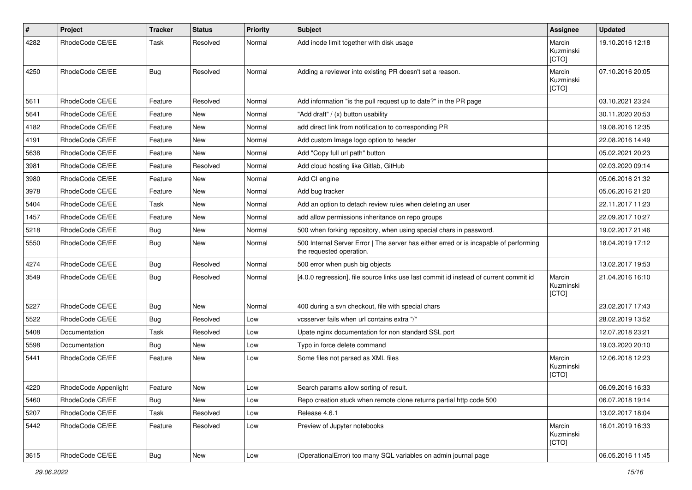| $\sharp$ | Project              | <b>Tracker</b> | <b>Status</b> | <b>Priority</b> | <b>Subject</b>                                                                                                    | <b>Assignee</b>              | <b>Updated</b>   |
|----------|----------------------|----------------|---------------|-----------------|-------------------------------------------------------------------------------------------------------------------|------------------------------|------------------|
| 4282     | RhodeCode CE/EE      | Task           | Resolved      | Normal          | Add inode limit together with disk usage                                                                          | Marcin<br>Kuzminski<br>[CTO] | 19.10.2016 12:18 |
| 4250     | RhodeCode CE/EE      | Bug            | Resolved      | Normal          | Adding a reviewer into existing PR doesn't set a reason.                                                          | Marcin<br>Kuzminski<br>[CTO] | 07.10.2016 20:05 |
| 5611     | RhodeCode CE/EE      | Feature        | Resolved      | Normal          | Add information "is the pull request up to date?" in the PR page                                                  |                              | 03.10.2021 23:24 |
| 5641     | RhodeCode CE/EE      | Feature        | <b>New</b>    | Normal          | "Add draft" / (x) button usability                                                                                |                              | 30.11.2020 20:53 |
| 4182     | RhodeCode CE/EE      | Feature        | <b>New</b>    | Normal          | add direct link from notification to corresponding PR                                                             |                              | 19.08.2016 12:35 |
| 4191     | RhodeCode CE/EE      | Feature        | <b>New</b>    | Normal          | Add custom Image logo option to header                                                                            |                              | 22.08.2016 14:49 |
| 5638     | RhodeCode CE/EE      | Feature        | New           | Normal          | Add "Copy full url path" button                                                                                   |                              | 05.02.2021 20:23 |
| 3981     | RhodeCode CE/EE      | Feature        | Resolved      | Normal          | Add cloud hosting like Gitlab, GitHub                                                                             |                              | 02.03.2020 09:14 |
| 3980     | RhodeCode CE/EE      | Feature        | <b>New</b>    | Normal          | Add CI engine                                                                                                     |                              | 05.06.2016 21:32 |
| 3978     | RhodeCode CE/EE      | Feature        | New           | Normal          | Add bug tracker                                                                                                   |                              | 05.06.2016 21:20 |
| 5404     | RhodeCode CE/EE      | Task           | <b>New</b>    | Normal          | Add an option to detach review rules when deleting an user                                                        |                              | 22.11.2017 11:23 |
| 1457     | RhodeCode CE/EE      | Feature        | New           | Normal          | add allow permissions inheritance on repo groups                                                                  |                              | 22.09.2017 10:27 |
| 5218     | RhodeCode CE/EE      | Bug            | New           | Normal          | 500 when forking repository, when using special chars in password.                                                |                              | 19.02.2017 21:46 |
| 5550     | RhodeCode CE/EE      | Bug            | <b>New</b>    | Normal          | 500 Internal Server Error   The server has either erred or is incapable of performing<br>the requested operation. |                              | 18.04.2019 17:12 |
| 4274     | RhodeCode CE/EE      | Bug            | Resolved      | Normal          | 500 error when push big objects                                                                                   |                              | 13.02.2017 19:53 |
| 3549     | RhodeCode CE/EE      | Bug            | Resolved      | Normal          | [4.0.0 regression], file source links use last commit id instead of current commit id                             | Marcin<br>Kuzminski<br>[CTO] | 21.04.2016 16:10 |
| 5227     | RhodeCode CE/EE      | Bug            | <b>New</b>    | Normal          | 400 during a svn checkout, file with special chars                                                                |                              | 23.02.2017 17:43 |
| 5522     | RhodeCode CE/EE      | Bug            | Resolved      | Low             | vcsserver fails when url contains extra "/"                                                                       |                              | 28.02.2019 13:52 |
| 5408     | Documentation        | Task           | Resolved      | Low             | Upate nginx documentation for non standard SSL port                                                               |                              | 12.07.2018 23:21 |
| 5598     | Documentation        | Bug            | New           | Low             | Typo in force delete command                                                                                      |                              | 19.03.2020 20:10 |
| 5441     | RhodeCode CE/EE      | Feature        | New           | Low             | Some files not parsed as XML files                                                                                | Marcin<br>Kuzminski<br>[CTO] | 12.06.2018 12:23 |
| 4220     | RhodeCode Appenlight | Feature        | New           | Low             | Search params allow sorting of result.                                                                            |                              | 06.09.2016 16:33 |
| 5460     | RhodeCode CE/EE      | Bug            | <b>New</b>    | Low             | Repo creation stuck when remote clone returns partial http code 500                                               |                              | 06.07.2018 19:14 |
| 5207     | RhodeCode CE/EE      | Task           | Resolved      | Low             | Release 4.6.1                                                                                                     |                              | 13.02.2017 18:04 |
| 5442     | RhodeCode CE/EE      | Feature        | Resolved      | Low             | Preview of Jupyter notebooks                                                                                      | Marcin<br>Kuzminski<br>[CTO] | 16.01.2019 16:33 |
| 3615     | RhodeCode CE/EE      | <b>Bug</b>     | New           | Low             | (OperationalError) too many SQL variables on admin journal page                                                   |                              | 06.05.2016 11:45 |